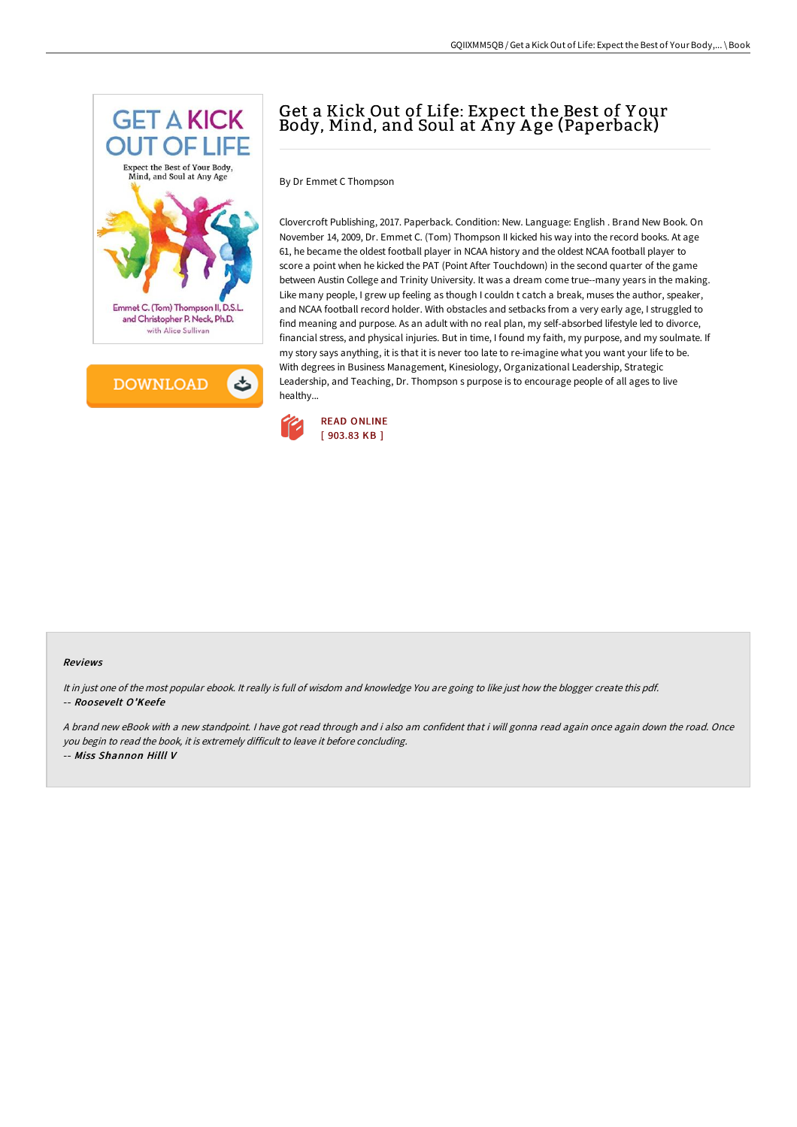



## Get a Kick Out of Life: Expect the Best of Y our Body, Mind, and Soul at Any Age (Paperback)

By Dr Emmet C Thompson

Clovercroft Publishing, 2017. Paperback. Condition: New. Language: English . Brand New Book. On November 14, 2009, Dr. Emmet C. (Tom) Thompson II kicked his way into the record books. At age 61, he became the oldest football player in NCAA history and the oldest NCAA football player to score a point when he kicked the PAT (Point After Touchdown) in the second quarter of the game between Austin College and Trinity University. It was a dream come true--many years in the making. Like many people, I grew up feeling as though I couldn t catch a break, muses the author, speaker, and NCAA football record holder. With obstacles and setbacks from a very early age, I struggled to find meaning and purpose. As an adult with no real plan, my self-absorbed lifestyle led to divorce, financial stress, and physical injuries. But in time, I found my faith, my purpose, and my soulmate. If my story says anything, it is that it is never too late to re-imagine what you want your life to be. With degrees in Business Management, Kinesiology, Organizational Leadership, Strategic Leadership, and Teaching, Dr. Thompson s purpose is to encourage people of all ages to live healthy...



## Reviews

It in just one of the most popular ebook. It really is full of wisdom and knowledge You are going to like just how the blogger create this pdf. -- Roosevelt O'Keefe

<sup>A</sup> brand new eBook with <sup>a</sup> new standpoint. <sup>I</sup> have got read through and i also am confident that i will gonna read again once again down the road. Once you begin to read the book, it is extremely difficult to leave it before concluding. -- Miss Shannon Hilll V